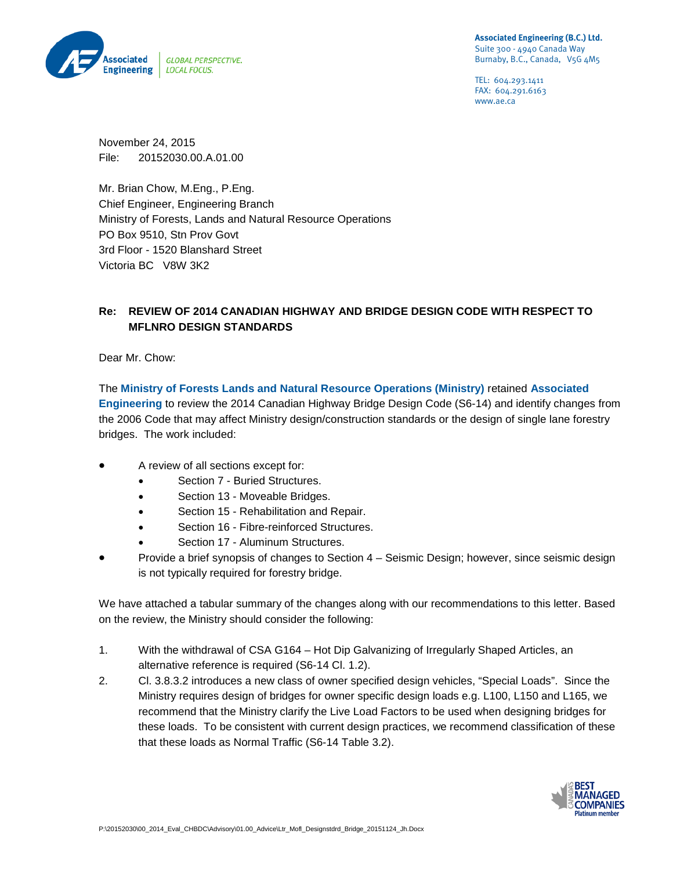

TEL: 604.293.1411 FAX: 604.291.6163 www.ae.ca

November 24, 2015 File: 20152030.00.A.01.00

Mr. Brian Chow, M.Eng., P.Eng. Chief Engineer, Engineering Branch Ministry of Forests, Lands and Natural Resource Operations PO Box 9510, Stn Prov Govt 3rd Floor - 1520 Blanshard Street Victoria BC V8W 3K2

## **Re: REVIEW OF 2014 CANADIAN HIGHWAY AND BRIDGE DESIGN CODE WITH RESPECT TO MFLNRO DESIGN STANDARDS**

Dear Mr. Chow:

The **Ministry of Forests Lands and Natural Resource Operations (Ministry)** retained **Associated Engineering** to review the 2014 Canadian Highway Bridge Design Code (S6-14) and identify changes from the 2006 Code that may affect Ministry design/construction standards or the design of single lane forestry bridges. The work included:

- A review of all sections except for:
	- Section 7 Buried Structures.
	- Section 13 Moveable Bridges.
	- Section 15 Rehabilitation and Repair.
	- Section 16 Fibre-reinforced Structures.
	- Section 17 Aluminum Structures.
- Provide a brief synopsis of changes to Section 4 Seismic Design; however, since seismic design is not typically required for forestry bridge.

We have attached a tabular summary of the changes along with our recommendations to this letter. Based on the review, the Ministry should consider the following:

- 1. With the withdrawal of CSA G164 Hot Dip Galvanizing of Irregularly Shaped Articles, an alternative reference is required (S6-14 Cl. 1.2).
- 2. Cl. 3.8.3.2 introduces a new class of owner specified design vehicles, "Special Loads". Since the Ministry requires design of bridges for owner specific design loads e.g. L100, L150 and L165, we recommend that the Ministry clarify the Live Load Factors to be used when designing bridges for these loads. To be consistent with current design practices, we recommend classification of these that these loads as Normal Traffic (S6-14 Table 3.2).

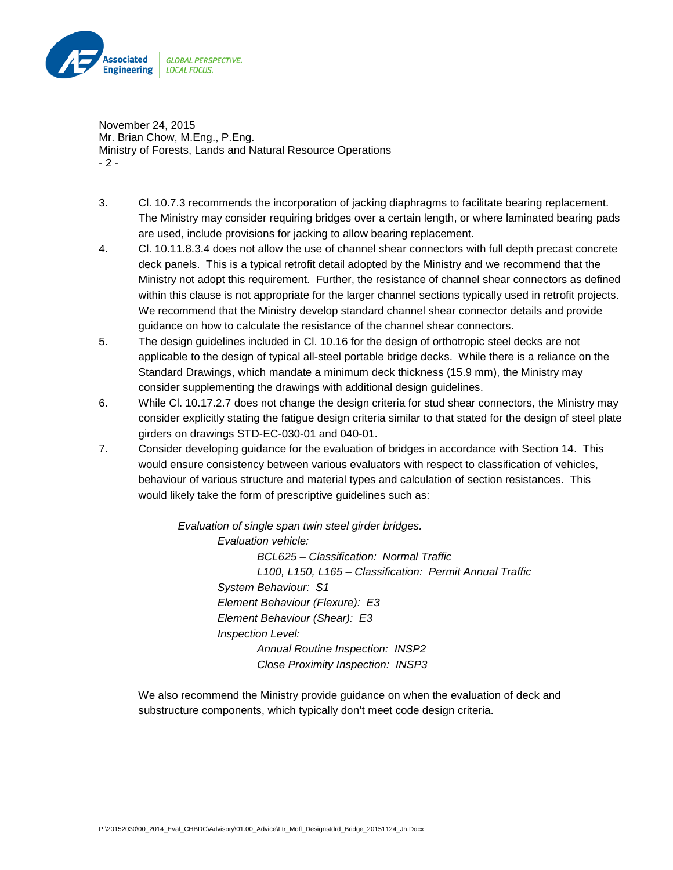

November 24, 2015 Mr. Brian Chow, M.Eng., P.Eng. Ministry of Forests, Lands and Natural Resource Operations - 2 -

- 3. Cl. 10.7.3 recommends the incorporation of jacking diaphragms to facilitate bearing replacement. The Ministry may consider requiring bridges over a certain length, or where laminated bearing pads are used, include provisions for jacking to allow bearing replacement.
- 4. Cl. 10.11.8.3.4 does not allow the use of channel shear connectors with full depth precast concrete deck panels. This is a typical retrofit detail adopted by the Ministry and we recommend that the Ministry not adopt this requirement. Further, the resistance of channel shear connectors as defined within this clause is not appropriate for the larger channel sections typically used in retrofit projects. We recommend that the Ministry develop standard channel shear connector details and provide guidance on how to calculate the resistance of the channel shear connectors.
- 5. The design guidelines included in Cl. 10.16 for the design of orthotropic steel decks are not applicable to the design of typical all-steel portable bridge decks. While there is a reliance on the Standard Drawings, which mandate a minimum deck thickness (15.9 mm), the Ministry may consider supplementing the drawings with additional design guidelines.
- 6. While Cl. 10.17.2.7 does not change the design criteria for stud shear connectors, the Ministry may consider explicitly stating the fatigue design criteria similar to that stated for the design of steel plate girders on drawings STD-EC-030-01 and 040-01.
- 7. Consider developing guidance for the evaluation of bridges in accordance with Section 14. This would ensure consistency between various evaluators with respect to classification of vehicles, behaviour of various structure and material types and calculation of section resistances. This would likely take the form of prescriptive guidelines such as:

*Evaluation of single span twin steel girder bridges. Evaluation vehicle: BCL625 – Classification: Normal Traffic L100, L150, L165 – Classification: Permit Annual Traffic System Behaviour: S1 Element Behaviour (Flexure): E3 Element Behaviour (Shear): E3 Inspection Level: Annual Routine Inspection: INSP2 Close Proximity Inspection: INSP3*

We also recommend the Ministry provide guidance on when the evaluation of deck and substructure components, which typically don't meet code design criteria.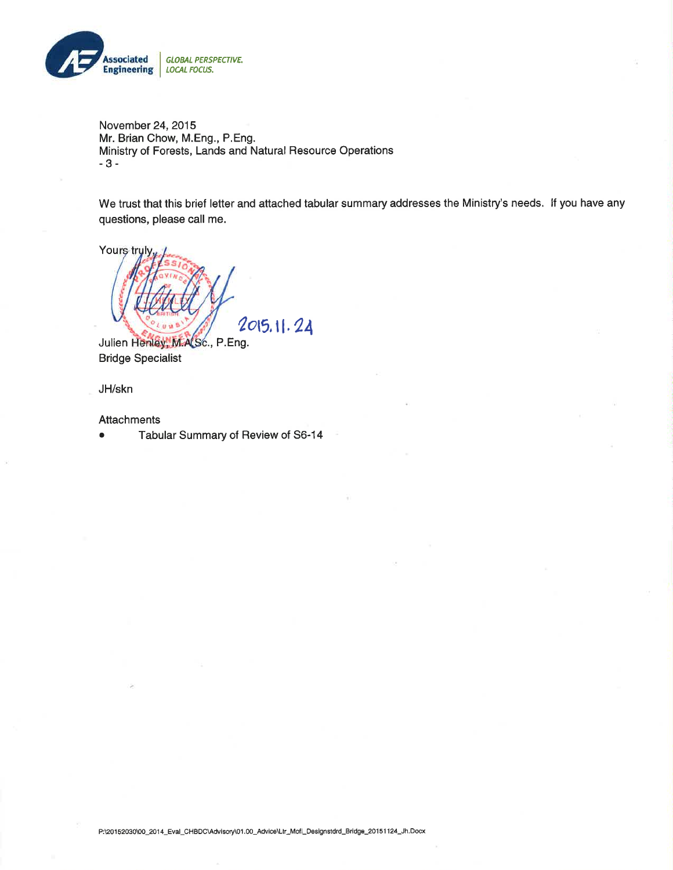

November 24, 2015 Mr. Brian Chow, M.Eng., P.Eng. Ministry of Forests, Lands and Natural Resource Operations  $-3-$ 

We trust that this brief letter and attached tabular summary addresses the Ministry's needs. If you have any questions, please call me.



Julien Henley, M.A.Sc., P.Eng. **Bridge Specialist** 

JH/skn

Attachments

 $\bullet$ Tabular Summary of Review of S6-14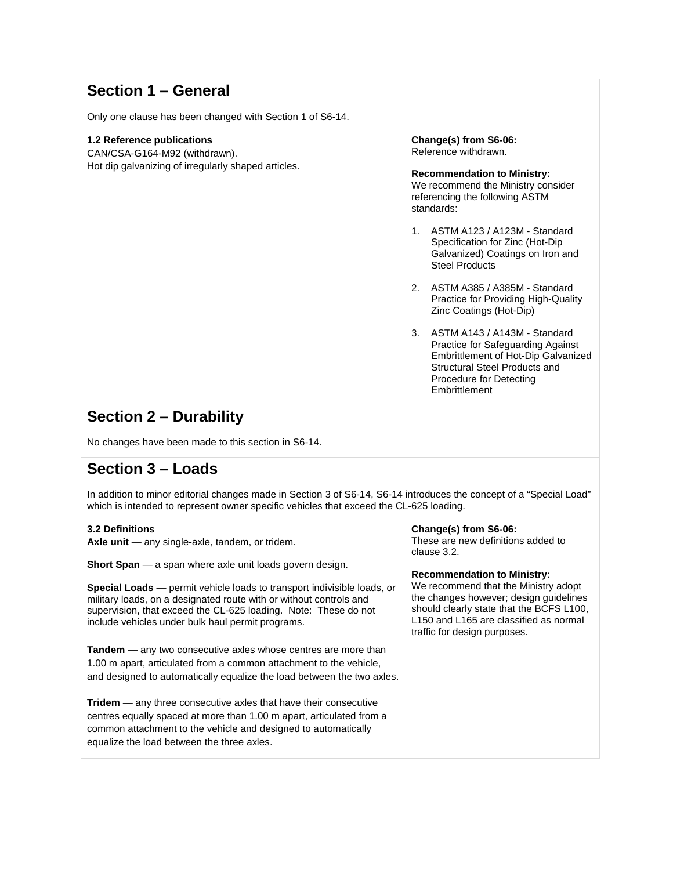## **Section 1 – General**

Only one clause has been changed with Section 1 of S6-14.

## **1.2 Reference publications**

CAN/CSA-G164-M92 (withdrawn). Hot dip galvanizing of irregularly shaped articles. **Change(s) from S6-06:** Reference withdrawn.

**Recommendation to Ministry:** We recommend the Ministry consider referencing the following ASTM standards:

- 1. ASTM A123 / A123M Standard Specification for Zinc (Hot-Dip Galvanized) Coatings on Iron and Steel Products
- 2. ASTM A385 / A385M Standard Practice for Providing High-Quality Zinc Coatings (Hot-Dip)
- 3. ASTM A143 / A143M Standard Practice for Safeguarding Against Embrittlement of Hot-Dip Galvanized Structural Steel Products and Procedure for Detecting **Embrittlement**

## **Section 2 – Durability**

No changes have been made to this section in S6-14.

## **Section 3 – Loads**

In addition to minor editorial changes made in Section 3 of S6-14, S6-14 introduces the concept of a "Special Load" which is intended to represent owner specific vehicles that exceed the CL-625 loading.

## **3.2 Definitions**

**Axle unit** — any single-axle, tandem, or tridem.

**Short Span** — a span where axle unit loads govern design.

**Special Loads** — permit vehicle loads to transport indivisible loads, or military loads, on a designated route with or without controls and supervision, that exceed the CL-625 loading. Note: These do not include vehicles under bulk haul permit programs.

**Tandem** — any two consecutive axles whose centres are more than 1.00 m apart, articulated from a common attachment to the vehicle, and designed to automatically equalize the load between the two axles.

**Tridem** — any three consecutive axles that have their consecutive centres equally spaced at more than 1.00 m apart, articulated from a common attachment to the vehicle and designed to automatically equalize the load between the three axles.

#### **Change(s) from S6-06:**

These are new definitions added to clause 3.2.

**Recommendation to Ministry:**

We recommend that the Ministry adopt the changes however; design guidelines should clearly state that the BCFS L100, L150 and L165 are classified as normal traffic for design purposes.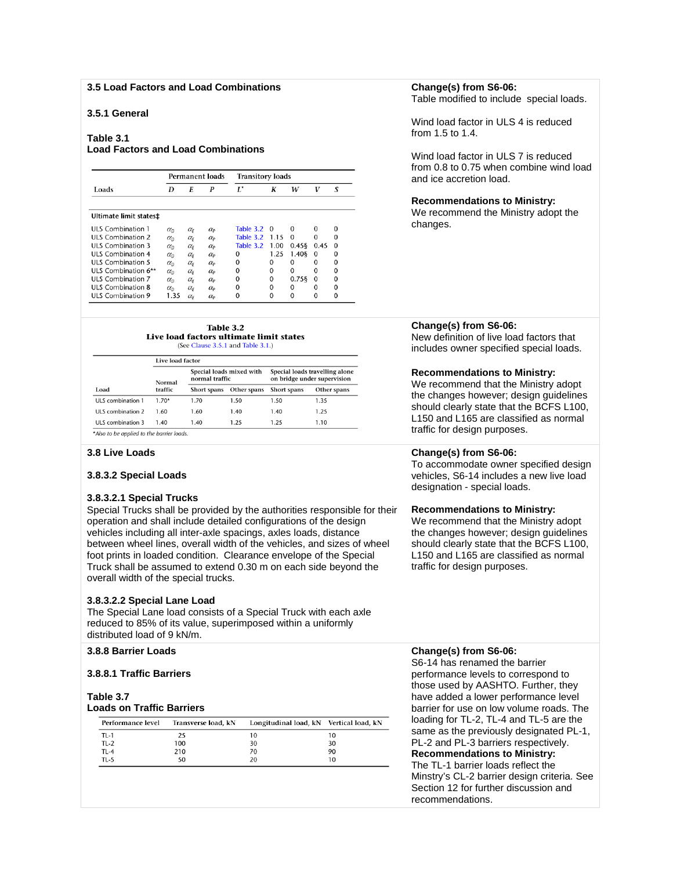#### **3.5 Load Factors and Load Combinations**

## **3.5.1 General**

#### **Table 3.1**

### **Load Factors and Load Combinations**

|                          |                  | <b>Permanent loads</b> |                  | <b>Transitory loads</b> |          |          |          |          |
|--------------------------|------------------|------------------------|------------------|-------------------------|----------|----------|----------|----------|
| Loads                    | D                | E                      | P                | $L^*$                   | К        | w        | V        | S        |
| Ultimate limit states#   |                  |                        |                  |                         |          |          |          |          |
| ULS Combination 1        | $\alpha_{\rm D}$ | $\alpha_{\rm F}$       | $\alpha_{\rm P}$ | Table 3.2               | $\Omega$ | $\Omega$ | o        | $\Omega$ |
| <b>ULS Combination 2</b> | $\alpha_{\rm D}$ | $\alpha_{\rm F}$       | $\alpha_{\rm p}$ | Table 3.2               | 1.15     | 0        | U        | ∩        |
| ULS Combination 3        | $\alpha_{D}$     | $\alpha_{\rm F}$       | $\alpha_{P}$     | Table 3.2               | 1.00     | 0.458    | 0.45     | $\Omega$ |
| ULS Combination 4        | $\alpha_{\rm D}$ | $\alpha_{\rm F}$       | $\alpha_{P}$     | 0                       | 1.25     | 1.408    | $\Omega$ | 0        |
| ULS Combination 5        | $\alpha_{\rm D}$ | $\alpha_{\rm F}$       | $\alpha_{\rm p}$ | 0                       | $\Omega$ | 0        | 0        | $\Omega$ |
| ULS Combination 6**      | $\alpha_{\rm D}$ | $\alpha_{\rm F}$       | $\alpha_{\rm P}$ | 0                       | $\Omega$ | $\Omega$ | $\Omega$ | $\Omega$ |
| ULS Combination 7        | $\alpha_{D}$     | $\alpha_{\rm F}$       | $\alpha_{P}$     | 0                       | $\Omega$ | 0.758    | $\Omega$ | $\Omega$ |
| <b>ULS Combination 8</b> | $\alpha_{\rm D}$ | $\alpha_{\rm F}$       | $\alpha_{\rm P}$ | 0                       | $\Omega$ | 0        | o        | 0        |
| <b>ULS Combination 9</b> | 1.35             | $\alpha_{\rm F}$       | $\alpha_{\rm P}$ | 0                       | O        | 0        | o        | 0        |



#### Live load factor

|                   | <b>1.1 YE ISBN 1885-198</b> |                                            |                         |                                                               |             |  |  |
|-------------------|-----------------------------|--------------------------------------------|-------------------------|---------------------------------------------------------------|-------------|--|--|
| Normal            |                             | Special loads mixed with<br>normal traffic |                         | Special loads travelling alone<br>on bridge under supervision |             |  |  |
| Load              | traffic                     | Short spans                                | Other spans Short spans |                                                               | Other spans |  |  |
| ULS combination 1 | $1.70*$                     | 1.70                                       | 1.50                    | 1.50                                                          | 1.35        |  |  |
| ULS combination 2 | 1.60                        | 1.60                                       | 1.40                    | 1.40                                                          | 1.25        |  |  |
| ULS combination 3 | 1.40                        | 1.40                                       | 1.25                    | 1.25                                                          | 1.10        |  |  |

\*Also to be applied to the barrier loads.

#### **3.8 Live Loads**

### **3.8.3.2 Special Loads**

#### **3.8.3.2.1 Special Trucks**

Special Trucks shall be provided by the authorities responsible for their operation and shall include detailed configurations of the design vehicles including all inter-axle spacings, axles loads, distance between wheel lines, overall width of the vehicles, and sizes of wheel foot prints in loaded condition. Clearance envelope of the Special Truck shall be assumed to extend 0.30 m on each side beyond the overall width of the special trucks.

#### **3.8.3.2.2 Special Lane Load**

The Special Lane load consists of a Special Truck with each axle reduced to 85% of its value, superimposed within a uniformly distributed load of 9 kN/m.

## **3.8.8 Barrier Loads**

#### **3.8.8.1 Traffic Barriers**

#### **Table 3.7 Loads on Traffic Barriers**

| Performance level | Transverse load, kN | Longitudinal load, kN Vertical load, kN |    |
|-------------------|---------------------|-----------------------------------------|----|
| TL-1              | 25                  | 10                                      | 10 |
| <b>TL-2</b>       | 100                 | 30                                      | 30 |
| <b>TL-4</b>       | 210                 | 70                                      | 90 |
| TL-5              | 50                  | 20                                      | 10 |

### **Change(s) from S6-06:**

Table modified to include special loads.

Wind load factor in ULS 4 is reduced from 1.5 to 1.4.

Wind load factor in ULS 7 is reduced from 0.8 to 0.75 when combine wind load and ice accretion load.

#### **Recommendations to Ministry:**

We recommend the Ministry adopt the changes.

## **Change(s) from S6-06:**

New definition of live load factors that includes owner specified special loads.

#### **Recommendations to Ministry:**

We recommend that the Ministry adopt the changes however; design guidelines should clearly state that the BCFS L100, L150 and L165 are classified as normal traffic for design purposes.

#### **Change(s) from S6-06:**

To accommodate owner specified design vehicles, S6-14 includes a new live load designation - special loads.

#### **Recommendations to Ministry:**

We recommend that the Ministry adopt the changes however; design guidelines should clearly state that the BCFS L100, L150 and L165 are classified as normal traffic for design purposes.

### **Change(s) from S6-06:**

S6-14 has renamed the barrier performance levels to correspond to those used by AASHTO. Further, they have added a lower performance level barrier for use on low volume roads. The loading for TL-2, TL-4 and TL-5 are the same as the previously designated PL-1, PL-2 and PL-3 barriers respectively. **Recommendations to Ministry:** The TL-1 barrier loads reflect the Minstry's CL-2 barrier design criteria. See Section 12 for further discussion and recommendations.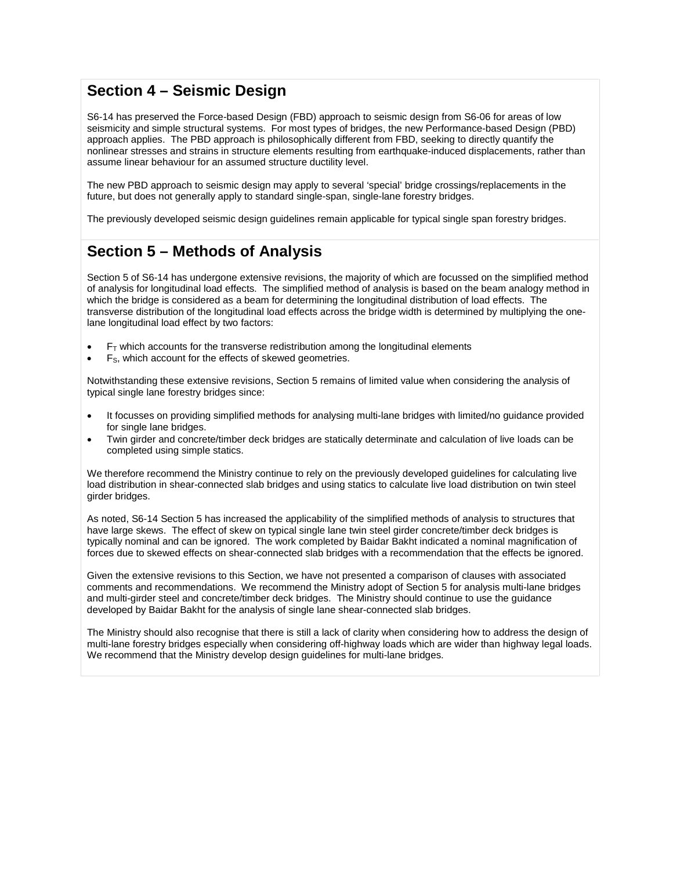## **Section 4 – Seismic Design**

S6-14 has preserved the Force-based Design (FBD) approach to seismic design from S6-06 for areas of low seismicity and simple structural systems. For most types of bridges, the new Performance-based Design (PBD) approach applies. The PBD approach is philosophically different from FBD, seeking to directly quantify the nonlinear stresses and strains in structure elements resulting from earthquake-induced displacements, rather than assume linear behaviour for an assumed structure ductility level.

The new PBD approach to seismic design may apply to several 'special' bridge crossings/replacements in the future, but does not generally apply to standard single-span, single-lane forestry bridges.

The previously developed seismic design guidelines remain applicable for typical single span forestry bridges.

# **Section 5 – Methods of Analysis**

Section 5 of S6-14 has undergone extensive revisions, the majority of which are focussed on the simplified method of analysis for longitudinal load effects. The simplified method of analysis is based on the beam analogy method in which the bridge is considered as a beam for determining the longitudinal distribution of load effects. The transverse distribution of the longitudinal load effects across the bridge width is determined by multiplying the onelane longitudinal load effect by two factors:

- $\bullet$   $\mathsf{F}_{\mathsf{T}}$  which accounts for the transverse redistribution among the longitudinal elements
- $\bullet$  F<sub>S</sub>, which account for the effects of skewed geometries.

Notwithstanding these extensive revisions, Section 5 remains of limited value when considering the analysis of typical single lane forestry bridges since:

- It focusses on providing simplified methods for analysing multi-lane bridges with limited/no guidance provided for single lane bridges.
- Twin girder and concrete/timber deck bridges are statically determinate and calculation of live loads can be completed using simple statics.

We therefore recommend the Ministry continue to rely on the previously developed guidelines for calculating live load distribution in shear-connected slab bridges and using statics to calculate live load distribution on twin steel girder bridges.

As noted, S6-14 Section 5 has increased the applicability of the simplified methods of analysis to structures that have large skews. The effect of skew on typical single lane twin steel girder concrete/timber deck bridges is typically nominal and can be ignored. The work completed by Baidar Bakht indicated a nominal magnification of forces due to skewed effects on shear-connected slab bridges with a recommendation that the effects be ignored.

Given the extensive revisions to this Section, we have not presented a comparison of clauses with associated comments and recommendations. We recommend the Ministry adopt of Section 5 for analysis multi-lane bridges and multi-girder steel and concrete/timber deck bridges. The Ministry should continue to use the guidance developed by Baidar Bakht for the analysis of single lane shear-connected slab bridges.

The Ministry should also recognise that there is still a lack of clarity when considering how to address the design of multi-lane forestry bridges especially when considering off-highway loads which are wider than highway legal loads. We recommend that the Ministry develop design quidelines for multi-lane bridges.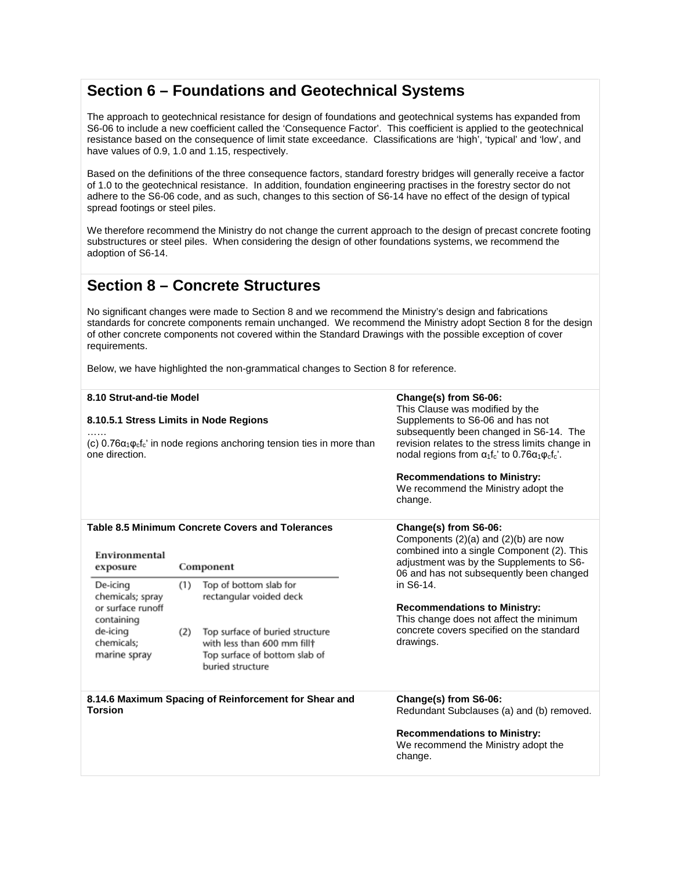## **Section 6 – Foundations and Geotechnical Systems**

The approach to geotechnical resistance for design of foundations and geotechnical systems has expanded from S6-06 to include a new coefficient called the 'Consequence Factor'. This coefficient is applied to the geotechnical resistance based on the consequence of limit state exceedance. Classifications are 'high', 'typical' and 'low', and have values of 0.9, 1.0 and 1.15, respectively.

Based on the definitions of the three consequence factors, standard forestry bridges will generally receive a factor of 1.0 to the geotechnical resistance. In addition, foundation engineering practises in the forestry sector do not adhere to the S6-06 code, and as such, changes to this section of S6-14 have no effect of the design of typical spread footings or steel piles.

We therefore recommend the Ministry do not change the current approach to the design of precast concrete footing substructures or steel piles. When considering the design of other foundations systems, we recommend the adoption of S6-14.

## **Section 8 – Concrete Structures**

No significant changes were made to Section 8 and we recommend the Ministry's design and fabrications standards for concrete components remain unchanged. We recommend the Ministry adopt Section 8 for the design of other concrete components not covered within the Standard Drawings with the possible exception of cover requirements.

Below, we have highlighted the non-grammatical changes to Section 8 for reference.

| <b>Torsion</b>                                                                                         |                                                                                                                             | buried structure<br>8.14.6 Maximum Spacing of Reinforcement for Shear and | Change(s) from S6-06:<br>Redundant Subclauses (a) and (b) removed.                                                                                                                                      |  |  |  |
|--------------------------------------------------------------------------------------------------------|-----------------------------------------------------------------------------------------------------------------------------|---------------------------------------------------------------------------|---------------------------------------------------------------------------------------------------------------------------------------------------------------------------------------------------------|--|--|--|
| containing<br>de-icing<br>chemicals;<br>marine spray                                                   | or surface runoff<br>Top surface of buried structure<br>(2)<br>with less than 600 mm fill†<br>Top surface of bottom slab of |                                                                           | <b>Recommendations to Ministry:</b><br>This change does not affect the minimum<br>concrete covers specified on the standard<br>drawings.                                                                |  |  |  |
| Top of bottom slab for<br>De-icing<br>(1)<br>rectangular voided deck<br>chemicals; spray               |                                                                                                                             |                                                                           | in S6-14.                                                                                                                                                                                               |  |  |  |
| Table 8.5 Minimum Concrete Covers and Tolerances<br>Environmental<br>Component<br>exposure             |                                                                                                                             |                                                                           | Change(s) from S6-06:<br>Components $(2)(a)$ and $(2)(b)$ are now<br>combined into a single Component (2). This<br>adjustment was by the Supplements to S6-<br>06 and has not subsequently been changed |  |  |  |
|                                                                                                        |                                                                                                                             |                                                                           | <b>Recommendations to Ministry:</b><br>We recommend the Ministry adopt the<br>change.                                                                                                                   |  |  |  |
| (c) $0.76\alpha_1\varphi_c f_c'$ in node regions anchoring tension ties in more than<br>one direction. |                                                                                                                             |                                                                           | subsequently been changed in S6-14. The<br>revision relates to the stress limits change in<br>nodal regions from $\alpha_1 f_c$ ' to 0.76 $\alpha_1 \varphi_c f_c'$ .                                   |  |  |  |
| 8.10.5.1 Stress Limits in Node Regions                                                                 |                                                                                                                             |                                                                           | This Clause was modified by the<br>Supplements to S6-06 and has not                                                                                                                                     |  |  |  |
| 8.10 Strut-and-tie Model                                                                               |                                                                                                                             |                                                                           | Change(s) from S6-06:                                                                                                                                                                                   |  |  |  |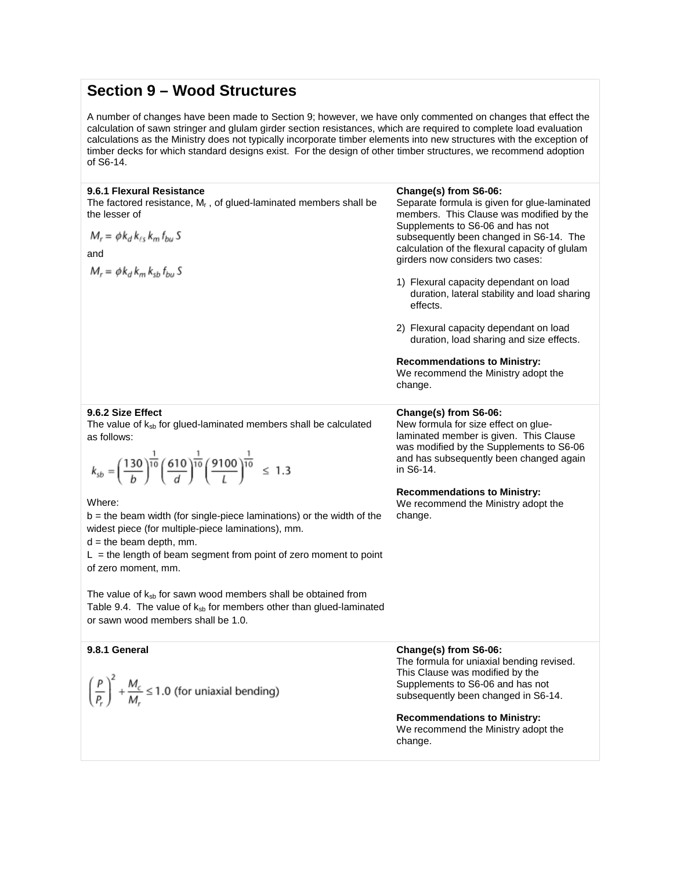## **Section 9 – Wood Structures**

A number of changes have been made to Section 9; however, we have only commented on changes that effect the calculation of sawn stringer and glulam girder section resistances, which are required to complete load evaluation calculations as the Ministry does not typically incorporate timber elements into new structures with the exception of timber decks for which standard designs exist. For the design of other timber structures, we recommend adoption of S6-14.

### **9.6.1 Flexural Resistance**

The factored resistance,  $M_f$ , of glued-laminated members shall be the lesser of

$$
M_r = \phi k_d k_{\ell s} k_m f_{bu} S
$$

and

 $M_r = \phi k_d k_m k_{sb} f_{bu} S$ 

#### **Change(s) from S6-06:**

Separate formula is given for glue-laminated members. This Clause was modified by the Supplements to S6-06 and has not subsequently been changed in S6-14. The calculation of the flexural capacity of glulam girders now considers two cases:

- 1) Flexural capacity dependant on load duration, lateral stability and load sharing effects.
- 2) Flexural capacity dependant on load duration, load sharing and size effects.

**Recommendations to Ministry:**

We recommend the Ministry adopt the change.

## **9.6.2 Size Effect**

The value of  $k_{sb}$  for glued-laminated members shall be calculated as follows:

$$
k_{sb} = \left(\frac{130}{b}\right)^{\frac{1}{10}} \left(\frac{610}{d}\right)^{\frac{1}{10}} \left(\frac{9100}{L}\right)^{\frac{1}{10}} \le 1.3
$$

#### Where:

 $b =$  the beam width (for single-piece laminations) or the width of the widest piece (for multiple-piece laminations), mm.

 $d =$  the beam depth, mm.

 $L =$  the length of beam segment from point of zero moment to point of zero moment, mm.

The value of  $k_{sb}$  for sawn wood members shall be obtained from Table 9.4. The value of  $k_{sb}$  for members other than glued-laminated or sawn wood members shall be 1.0.

## **9.8.1 General Change(s) from S6-06:**

$$
\left(\frac{P}{P_r}\right)^2 + \frac{M_c}{M_r} \le 1.0
$$
 (for uniaxial bending)

#### **Change(s) from S6-06:**

New formula for size effect on gluelaminated member is given. This Clause was modified by the Supplements to S6-06 and has subsequently been changed again in S6-14.

## **Recommendations to Ministry:**

We recommend the Ministry adopt the change.

The formula for uniaxial bending revised. This Clause was modified by the Supplements to S6-06 and has not subsequently been changed in S6-14.

**Recommendations to Ministry:** We recommend the Ministry adopt the change.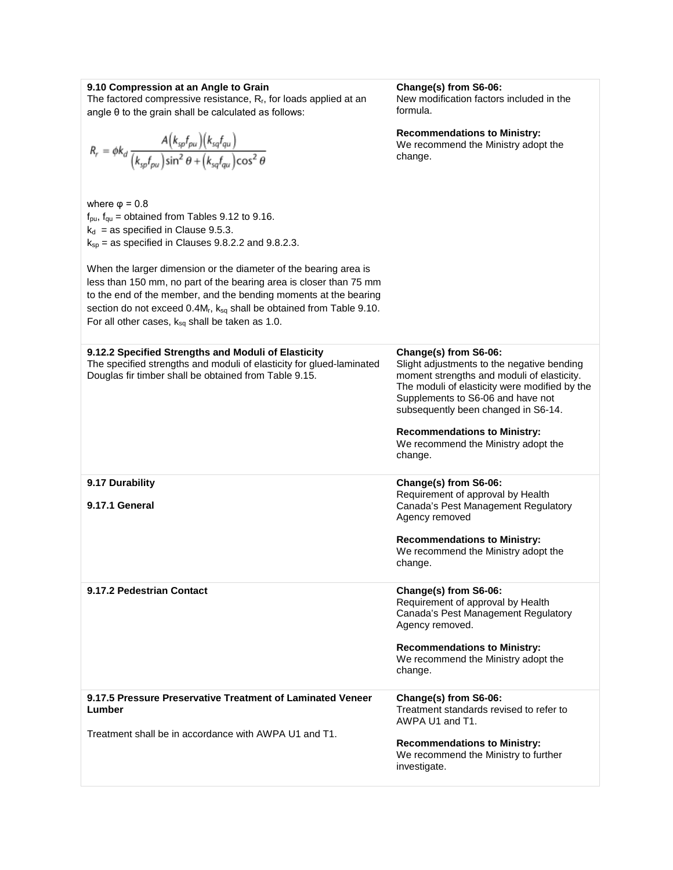|  | 9.10 Compression at an Angle to Grain |  |  |  |  |
|--|---------------------------------------|--|--|--|--|
|--|---------------------------------------|--|--|--|--|

The factored compressive resistance,  $R_{r}$ , for loads applied at an angle θ to the grain shall be calculated as follows:

| $R_r = \phi k_d \frac{A\big(k_{sp} f_{pu}\big)\big(k_{sq} f_{qu}\big)}{\big(k_{sp} f_{pu}\big)\text{sin}^2\theta+\big(k_{sq} f_{au}\big)\text{cos}^2\theta}$                                                                                                                                                                                                                                                                                                                                                                                     | <b>Recommendations to Ministry:</b><br>We recommend the Ministry adopt the<br>change.                                                                                                                                                                                                                                                   |
|--------------------------------------------------------------------------------------------------------------------------------------------------------------------------------------------------------------------------------------------------------------------------------------------------------------------------------------------------------------------------------------------------------------------------------------------------------------------------------------------------------------------------------------------------|-----------------------------------------------------------------------------------------------------------------------------------------------------------------------------------------------------------------------------------------------------------------------------------------------------------------------------------------|
| where $\varphi = 0.8$<br>$f_{\text{pu}}$ , $f_{\text{qu}}$ = obtained from Tables 9.12 to 9.16.<br>$k_d$ = as specified in Clause 9.5.3.<br>$k_{sp}$ = as specified in Clauses 9.8.2.2 and 9.8.2.3.<br>When the larger dimension or the diameter of the bearing area is<br>less than 150 mm, no part of the bearing area is closer than 75 mm<br>to the end of the member, and the bending moments at the bearing<br>section do not exceed 0.4Mr, ksq shall be obtained from Table 9.10.<br>For all other cases, $k_{sq}$ shall be taken as 1.0. |                                                                                                                                                                                                                                                                                                                                         |
| 9.12.2 Specified Strengths and Moduli of Elasticity<br>The specified strengths and moduli of elasticity for glued-laminated<br>Douglas fir timber shall be obtained from Table 9.15.                                                                                                                                                                                                                                                                                                                                                             | Change(s) from S6-06:<br>Slight adjustments to the negative bending<br>moment strengths and moduli of elasticity.<br>The moduli of elasticity were modified by the<br>Supplements to S6-06 and have not<br>subsequently been changed in S6-14.<br><b>Recommendations to Ministry:</b><br>We recommend the Ministry adopt the<br>change. |
| 9.17 Durability<br>9.17.1 General                                                                                                                                                                                                                                                                                                                                                                                                                                                                                                                | Change(s) from S6-06:<br>Requirement of approval by Health<br>Canada's Pest Management Regulatory<br>Agency removed<br><b>Recommendations to Ministry:</b><br>We recommend the Ministry adopt the<br>change.                                                                                                                            |
| 9.17.2 Pedestrian Contact                                                                                                                                                                                                                                                                                                                                                                                                                                                                                                                        | Change(s) from S6-06:<br>Requirement of approval by Health<br>Canada's Pest Management Regulatory<br>Agency removed.<br><b>Recommendations to Ministry:</b><br>We recommend the Ministry adopt the<br>change.                                                                                                                           |
| 9.17.5 Pressure Preservative Treatment of Laminated Veneer<br>Lumber<br>Treatment shall be in accordance with AWPA U1 and T1.                                                                                                                                                                                                                                                                                                                                                                                                                    | Change(s) from S6-06:<br>Treatment standards revised to refer to<br>AWPA U1 and T1.<br><b>Recommendations to Ministry:</b><br>We recommend the Ministry to further<br>investigate.                                                                                                                                                      |

**Change(s) from S6-06:**

New modification factors included in the formula.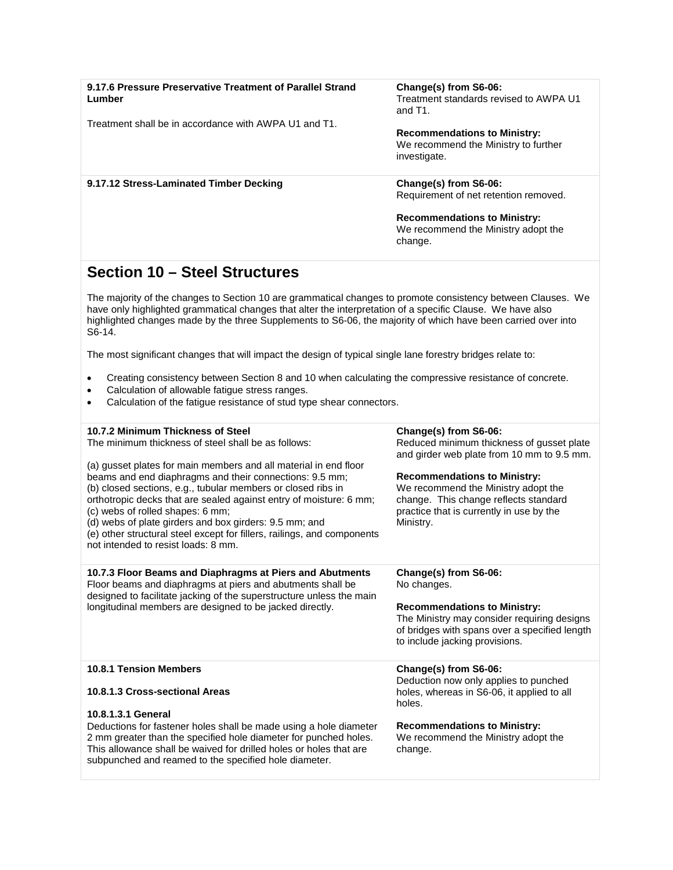| 9.17.6 Pressure Preservative Treatment of Parallel Strand<br>Lumber                                                                                                                                                                                                                                                                                                                                                                                                               | Change(s) from S6-06:<br>Treatment standards revised to AWPA U1<br>and T1.                                                                                                   |
|-----------------------------------------------------------------------------------------------------------------------------------------------------------------------------------------------------------------------------------------------------------------------------------------------------------------------------------------------------------------------------------------------------------------------------------------------------------------------------------|------------------------------------------------------------------------------------------------------------------------------------------------------------------------------|
| Treatment shall be in accordance with AWPA U1 and T1.                                                                                                                                                                                                                                                                                                                                                                                                                             | <b>Recommendations to Ministry:</b><br>We recommend the Ministry to further<br>investigate.                                                                                  |
| 9.17.12 Stress-Laminated Timber Decking                                                                                                                                                                                                                                                                                                                                                                                                                                           | Change(s) from S6-06:<br>Requirement of net retention removed.                                                                                                               |
|                                                                                                                                                                                                                                                                                                                                                                                                                                                                                   | <b>Recommendations to Ministry:</b><br>We recommend the Ministry adopt the<br>change.                                                                                        |
| <b>Section 10 - Steel Structures</b>                                                                                                                                                                                                                                                                                                                                                                                                                                              |                                                                                                                                                                              |
| The majority of the changes to Section 10 are grammatical changes to promote consistency between Clauses. We<br>have only highlighted grammatical changes that alter the interpretation of a specific Clause. We have also<br>highlighted changes made by the three Supplements to S6-06, the majority of which have been carried over into<br>S6-14.                                                                                                                             |                                                                                                                                                                              |
| The most significant changes that will impact the design of typical single lane forestry bridges relate to:                                                                                                                                                                                                                                                                                                                                                                       |                                                                                                                                                                              |
| Creating consistency between Section 8 and 10 when calculating the compressive resistance of concrete.<br>٠<br>Calculation of allowable fatigue stress ranges.<br>Calculation of the fatigue resistance of stud type shear connectors.                                                                                                                                                                                                                                            |                                                                                                                                                                              |
| 10.7.2 Minimum Thickness of Steel<br>The minimum thickness of steel shall be as follows:                                                                                                                                                                                                                                                                                                                                                                                          | Change(s) from S6-06:<br>Reduced minimum thickness of gusset plate<br>and girder web plate from 10 mm to 9.5 mm.                                                             |
| (a) gusset plates for main members and all material in end floor<br>beams and end diaphragms and their connections: 9.5 mm;<br>(b) closed sections, e.g., tubular members or closed ribs in<br>orthotropic decks that are sealed against entry of moisture: 6 mm;<br>(c) webs of rolled shapes: 6 mm;<br>(d) webs of plate girders and box girders: 9.5 mm; and<br>(e) other structural steel except for fillers, railings, and components<br>not intended to resist loads: 8 mm. | <b>Recommendations to Ministry:</b><br>We recommend the Ministry adopt the<br>change. This change reflects standard<br>practice that is currently in use by the<br>Ministry. |
| 10.7.3 Floor Beams and Diaphragms at Piers and Abutments<br>Floor beams and diaphragms at piers and abutments shall be                                                                                                                                                                                                                                                                                                                                                            | Change(s) from S6-06:<br>No changes.                                                                                                                                         |
| designed to facilitate jacking of the superstructure unless the main<br>longitudinal members are designed to be jacked directly.                                                                                                                                                                                                                                                                                                                                                  | <b>Recommendations to Ministry:</b><br>The Ministry may consider requiring designs<br>of bridges with spans over a specified length<br>to include jacking provisions.        |
| <b>10.8.1 Tension Members</b>                                                                                                                                                                                                                                                                                                                                                                                                                                                     | Change(s) from S6-06:                                                                                                                                                        |
| 10.8.1.3 Cross-sectional Areas                                                                                                                                                                                                                                                                                                                                                                                                                                                    | Deduction now only applies to punched<br>holes, whereas in S6-06, it applied to all<br>holes.                                                                                |
| 10.8.1.3.1 General<br>Deductions for fastener holes shall be made using a hole diameter<br>2 mm greater than the specified hole diameter for punched holes.<br>This allowance shall be waived for drilled holes or holes that are<br>subpunched and reamed to the specified hole diameter.                                                                                                                                                                                        | <b>Recommendations to Ministry:</b><br>We recommend the Ministry adopt the<br>change.                                                                                        |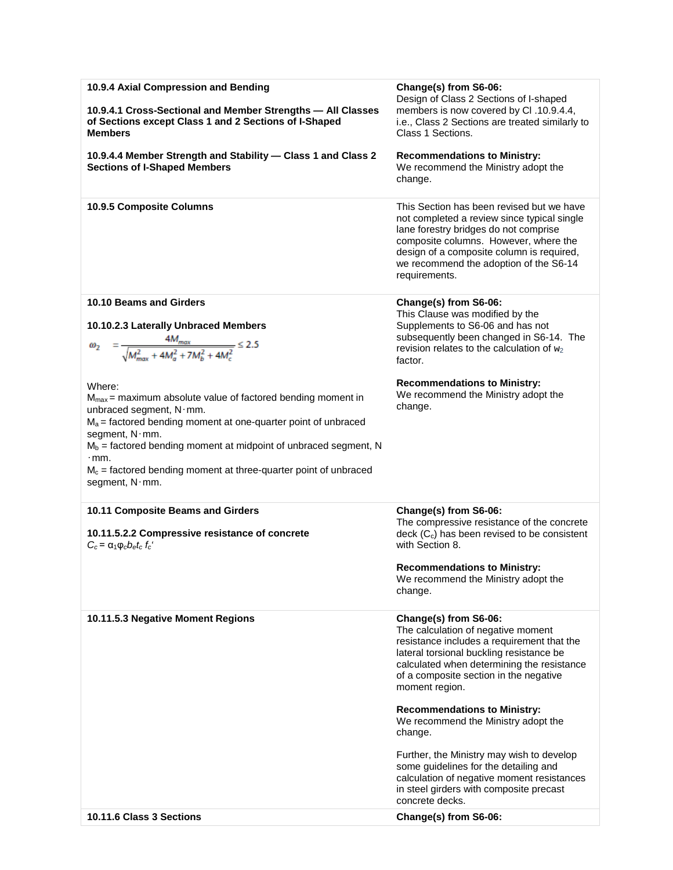| 10.9.4 Axial Compression and Bending<br>10.9.4.1 Cross-Sectional and Member Strengths - All Classes | Change(s) from S6-06:<br>Design of Class 2 Sections of I-shaped<br>members is now covered by CI .10.9.4.4,                                                                                                                                                                         |
|-----------------------------------------------------------------------------------------------------|------------------------------------------------------------------------------------------------------------------------------------------------------------------------------------------------------------------------------------------------------------------------------------|
| of Sections except Class 1 and 2 Sections of I-Shaped<br><b>Members</b>                             | i.e., Class 2 Sections are treated similarly to<br>Class 1 Sections.                                                                                                                                                                                                               |
| 10.9.4.4 Member Strength and Stability - Class 1 and Class 2<br><b>Sections of I-Shaped Members</b> | <b>Recommendations to Ministry:</b><br>We recommend the Ministry adopt the<br>change.                                                                                                                                                                                              |
| 10.9.5 Composite Columns                                                                            | This Section has been revised but we have<br>not completed a review since typical single<br>lane forestry bridges do not comprise<br>composite columns. However, where the<br>design of a composite column is required,<br>we recommend the adoption of the S6-14<br>requirements. |
| 10.10 Beams and Girders                                                                             | Change(s) from S6-06:<br>This Clause was modified by the                                                                                                                                                                                                                           |
| 10.10.2.3 Laterally Unbraced Members                                                                | Supplements to S6-06 and has not<br>subsequently been changed in S6-14. The                                                                                                                                                                                                        |
| $=\frac{4M_{max}}{\sqrt{M_{max}^2+4M_{s}^2+7M_{h}^2+4M_{s}^2}} \leq 2.5$                            | revision relates to the calculation of $w_2$<br>factor.                                                                                                                                                                                                                            |
| Where:                                                                                              | <b>Recommendations to Ministry:</b>                                                                                                                                                                                                                                                |
| $M_{max}$ = maximum absolute value of factored bending moment in<br>unbraced segment, N·mm.         | We recommend the Ministry adopt the<br>change.                                                                                                                                                                                                                                     |
| $M_a$ = factored bending moment at one-quarter point of unbraced                                    |                                                                                                                                                                                                                                                                                    |
| segment, N·mm.<br>$M_b$ = factored bending moment at midpoint of unbraced segment, N                |                                                                                                                                                                                                                                                                                    |
| $\cdot$ mm.<br>$M_c$ = factored bending moment at three-quarter point of unbraced                   |                                                                                                                                                                                                                                                                                    |
| segment, $N \cdot$ mm.                                                                              |                                                                                                                                                                                                                                                                                    |
| 10.11 Composite Beams and Girders                                                                   | Change(s) from S6-06:                                                                                                                                                                                                                                                              |
| 10.11.5.2.2 Compressive resistance of concrete<br>$C_c = \alpha_1 \varphi_c b_e t_c f_c'$           | The compressive resistance of the concrete<br>$\text{deck}$ ( $C_c$ ) has been revised to be consistent<br>with Section 8.                                                                                                                                                         |
|                                                                                                     | <b>Recommendations to Ministry:</b><br>We recommend the Ministry adopt the                                                                                                                                                                                                         |
|                                                                                                     | change.                                                                                                                                                                                                                                                                            |
| 10.11.5.3 Negative Moment Regions                                                                   | Change(s) from S6-06:<br>The calculation of negative moment<br>resistance includes a requirement that the<br>lateral torsional buckling resistance be<br>calculated when determining the resistance<br>of a composite section in the negative<br>moment region.                    |
|                                                                                                     | <b>Recommendations to Ministry:</b><br>We recommend the Ministry adopt the<br>change.                                                                                                                                                                                              |
|                                                                                                     | Further, the Ministry may wish to develop<br>some guidelines for the detailing and<br>calculation of negative moment resistances<br>in steel girders with composite precast<br>concrete decks.                                                                                     |
| 10.11.6 Class 3 Sections                                                                            | Change(s) from S6-06:                                                                                                                                                                                                                                                              |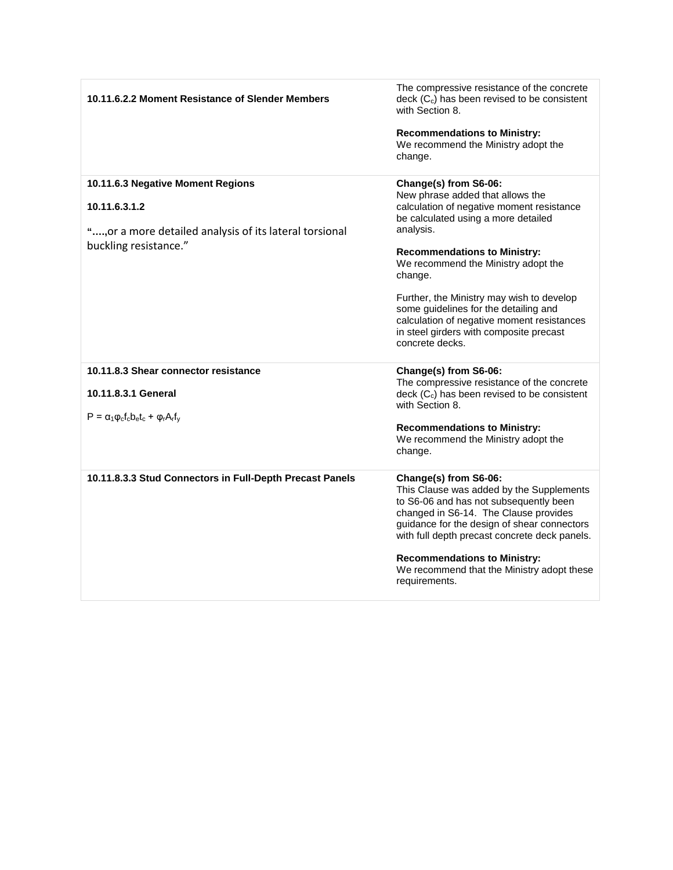| 10.11.6.2.2 Moment Resistance of Slender Members                                                                                       | The compressive resistance of the concrete<br>$\text{deck}$ ( $C_c$ ) has been revised to be consistent<br>with Section 8.<br><b>Recommendations to Ministry:</b><br>We recommend the Ministry adopt the<br>change.                                                                                                                                                                                                                                   |
|----------------------------------------------------------------------------------------------------------------------------------------|-------------------------------------------------------------------------------------------------------------------------------------------------------------------------------------------------------------------------------------------------------------------------------------------------------------------------------------------------------------------------------------------------------------------------------------------------------|
| 10.11.6.3 Negative Moment Regions<br>10.11.6.3.1.2<br>", or a more detailed analysis of its lateral torsional<br>buckling resistance." | Change(s) from S6-06:<br>New phrase added that allows the<br>calculation of negative moment resistance<br>be calculated using a more detailed<br>analysis.<br><b>Recommendations to Ministry:</b><br>We recommend the Ministry adopt the<br>change.<br>Further, the Ministry may wish to develop<br>some guidelines for the detailing and<br>calculation of negative moment resistances<br>in steel girders with composite precast<br>concrete decks. |
| 10.11.8.3 Shear connector resistance<br>10.11.8.3.1 General<br>$P = \alpha_1 \varphi_c f_c b_e t_c + \varphi_r A_r f_v$                | Change(s) from S6-06:<br>The compressive resistance of the concrete<br>$\text{deck}$ ( $C_c$ ) has been revised to be consistent<br>with Section 8.<br><b>Recommendations to Ministry:</b><br>We recommend the Ministry adopt the<br>change.                                                                                                                                                                                                          |
| 10.11.8.3.3 Stud Connectors in Full-Depth Precast Panels                                                                               | Change(s) from S6-06:<br>This Clause was added by the Supplements<br>to S6-06 and has not subsequently been<br>changed in S6-14. The Clause provides<br>guidance for the design of shear connectors<br>with full depth precast concrete deck panels.<br><b>Recommendations to Ministry:</b><br>We recommend that the Ministry adopt these<br>requirements.                                                                                            |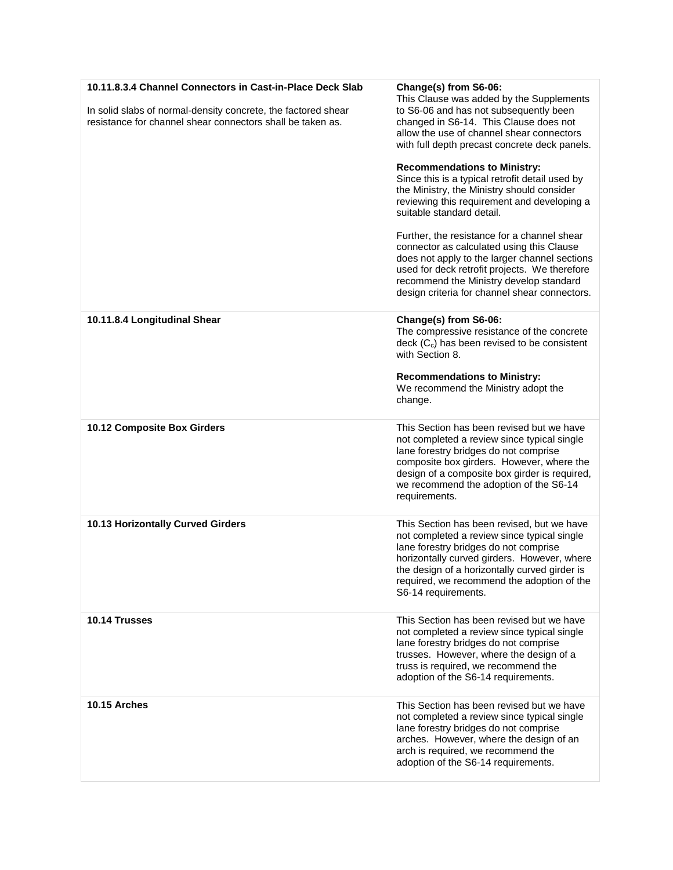| 10.11.8.3.4 Channel Connectors in Cast-in-Place Deck Slab<br>In solid slabs of normal-density concrete, the factored shear<br>resistance for channel shear connectors shall be taken as. | Change(s) from S6-06:<br>This Clause was added by the Supplements<br>to S6-06 and has not subsequently been<br>changed in S6-14. This Clause does not<br>allow the use of channel shear connectors<br>with full depth precast concrete deck panels.<br><b>Recommendations to Ministry:</b><br>Since this is a typical retrofit detail used by<br>the Ministry, the Ministry should consider<br>reviewing this requirement and developing a<br>suitable standard detail.<br>Further, the resistance for a channel shear<br>connector as calculated using this Clause<br>does not apply to the larger channel sections<br>used for deck retrofit projects. We therefore<br>recommend the Ministry develop standard<br>design criteria for channel shear connectors. |
|------------------------------------------------------------------------------------------------------------------------------------------------------------------------------------------|-------------------------------------------------------------------------------------------------------------------------------------------------------------------------------------------------------------------------------------------------------------------------------------------------------------------------------------------------------------------------------------------------------------------------------------------------------------------------------------------------------------------------------------------------------------------------------------------------------------------------------------------------------------------------------------------------------------------------------------------------------------------|
| 10.11.8.4 Longitudinal Shear                                                                                                                                                             | Change(s) from S6-06:<br>The compressive resistance of the concrete<br>deck $(C_c)$ has been revised to be consistent<br>with Section 8.<br><b>Recommendations to Ministry:</b><br>We recommend the Ministry adopt the<br>change.                                                                                                                                                                                                                                                                                                                                                                                                                                                                                                                                 |
| 10.12 Composite Box Girders                                                                                                                                                              | This Section has been revised but we have<br>not completed a review since typical single<br>lane forestry bridges do not comprise<br>composite box girders. However, where the<br>design of a composite box girder is required,<br>we recommend the adoption of the S6-14<br>requirements.                                                                                                                                                                                                                                                                                                                                                                                                                                                                        |
| 10.13 Horizontally Curved Girders                                                                                                                                                        | This Section has been revised, but we have<br>not completed a review since typical single<br>lane forestry bridges do not comprise<br>horizontally curved girders. However, where<br>the design of a horizontally curved girder is<br>required, we recommend the adoption of the<br>S6-14 requirements.                                                                                                                                                                                                                                                                                                                                                                                                                                                           |
| 10.14 Trusses                                                                                                                                                                            | This Section has been revised but we have<br>not completed a review since typical single<br>lane forestry bridges do not comprise<br>trusses. However, where the design of a<br>truss is required, we recommend the<br>adoption of the S6-14 requirements.                                                                                                                                                                                                                                                                                                                                                                                                                                                                                                        |
| 10.15 Arches                                                                                                                                                                             | This Section has been revised but we have<br>not completed a review since typical single<br>lane forestry bridges do not comprise<br>arches. However, where the design of an<br>arch is required, we recommend the<br>adoption of the S6-14 requirements.                                                                                                                                                                                                                                                                                                                                                                                                                                                                                                         |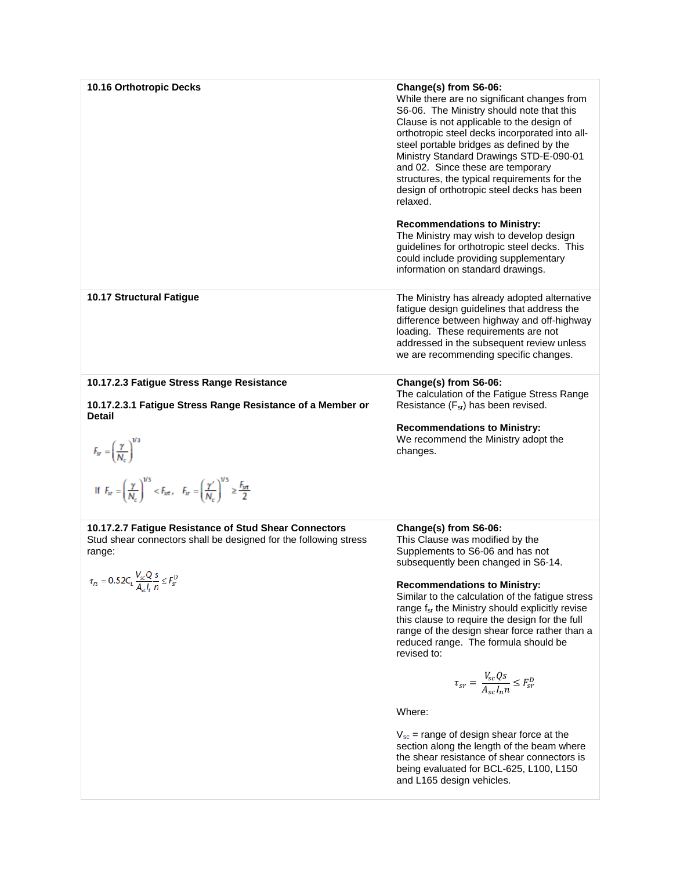| 10.16 Orthotropic Decks                                                                                                                                                                     | Change(s) from S6-06:<br>While there are no significant changes from<br>S6-06. The Ministry should note that this<br>Clause is not applicable to the design of<br>orthotropic steel decks incorporated into all-<br>steel portable bridges as defined by the<br>Ministry Standard Drawings STD-E-090-01<br>and 02. Since these are temporary<br>structures, the typical requirements for the<br>design of orthotropic steel decks has been<br>relaxed.<br><b>Recommendations to Ministry:</b><br>The Ministry may wish to develop design<br>guidelines for orthotropic steel decks. This<br>could include providing supplementary<br>information on standard drawings. |
|---------------------------------------------------------------------------------------------------------------------------------------------------------------------------------------------|------------------------------------------------------------------------------------------------------------------------------------------------------------------------------------------------------------------------------------------------------------------------------------------------------------------------------------------------------------------------------------------------------------------------------------------------------------------------------------------------------------------------------------------------------------------------------------------------------------------------------------------------------------------------|
| 10.17 Structural Fatigue                                                                                                                                                                    | The Ministry has already adopted alternative<br>fatigue design guidelines that address the<br>difference between highway and off-highway<br>loading. These requirements are not<br>addressed in the subsequent review unless<br>we are recommending specific changes.                                                                                                                                                                                                                                                                                                                                                                                                  |
| 10.17.2.3 Fatigue Stress Range Resistance<br>10.17.2.3.1 Fatigue Stress Range Resistance of a Member or<br><b>Detail</b>                                                                    | Change(s) from S6-06:<br>The calculation of the Fatigue Stress Range<br>Resistance $(F_{sr})$ has been revised.<br><b>Recommendations to Ministry:</b>                                                                                                                                                                                                                                                                                                                                                                                                                                                                                                                 |
| $F_{sr} = \left(\frac{\gamma}{N_c}\right)^{1/3}$<br>If $F_{sr} = \left(\frac{\gamma}{N_c}\right)^{1/3} < F_{srt}$ , $F_{sr} = \left(\frac{\gamma'}{N_c}\right)^{1/5} \ge \frac{F_{srt}}{2}$ | We recommend the Ministry adopt the<br>changes.                                                                                                                                                                                                                                                                                                                                                                                                                                                                                                                                                                                                                        |
| 10.17.2.7 Fatigue Resistance of Stud Shear Connectors<br>Stud shear connectors shall be designed for the following stress<br>range:                                                         | Change(s) from S6-06:<br>This Clause was modified by the<br>Supplements to S6-06 and has not<br>subsequently been changed in S6-14.                                                                                                                                                                                                                                                                                                                                                                                                                                                                                                                                    |
| $\tau_{rs}=0.52C_L\frac{V_{sc}Q}{A_{\textrm{\tiny{c}}r}l_{\textrm{\tiny{r}}}}\frac{s}{n}\leq F_{sr}^D$                                                                                      | <b>Recommendations to Ministry:</b><br>Similar to the calculation of the fatigue stress<br>range f <sub>sr</sub> the Ministry should explicitly revise<br>this clause to require the design for the full<br>range of the design shear force rather than a<br>reduced range. The formula should be<br>revised to:                                                                                                                                                                                                                                                                                                                                                       |
|                                                                                                                                                                                             | $\tau_{sr} = \frac{V_{sc} Qs}{A_{sc} I_n n} \leq F_{sr}^D$                                                                                                                                                                                                                                                                                                                                                                                                                                                                                                                                                                                                             |
|                                                                                                                                                                                             | Where:                                                                                                                                                                                                                                                                                                                                                                                                                                                                                                                                                                                                                                                                 |
|                                                                                                                                                                                             | $V_{sc}$ = range of design shear force at the<br>section along the length of the beam where<br>the shear resistance of shear connectors is<br>being evaluated for BCL-625, L100, L150                                                                                                                                                                                                                                                                                                                                                                                                                                                                                  |

and L165 design vehicles.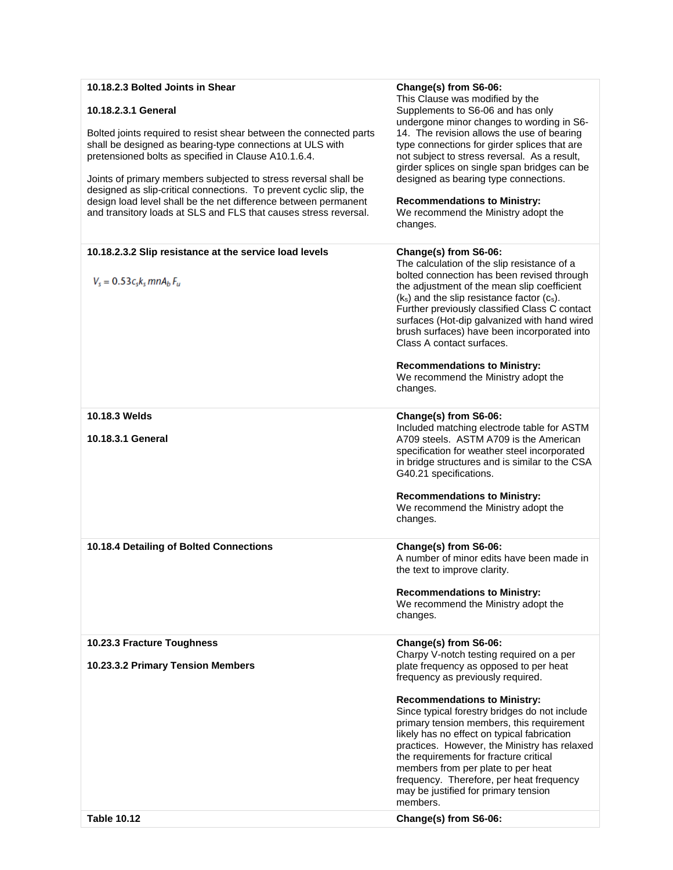| 10.18.2.3 Bolted Joints in Shear                                                                                                                                                                                                                                                                                                                                                                                                                                        | Change(s) from S6-06:                                                                                                                                                                                                                                                                                                                                                                                                                                               |
|-------------------------------------------------------------------------------------------------------------------------------------------------------------------------------------------------------------------------------------------------------------------------------------------------------------------------------------------------------------------------------------------------------------------------------------------------------------------------|---------------------------------------------------------------------------------------------------------------------------------------------------------------------------------------------------------------------------------------------------------------------------------------------------------------------------------------------------------------------------------------------------------------------------------------------------------------------|
| 10.18.2.3.1 General                                                                                                                                                                                                                                                                                                                                                                                                                                                     | This Clause was modified by the<br>Supplements to S6-06 and has only<br>undergone minor changes to wording in S6-                                                                                                                                                                                                                                                                                                                                                   |
| Bolted joints required to resist shear between the connected parts<br>shall be designed as bearing-type connections at ULS with<br>pretensioned bolts as specified in Clause A10.1.6.4.<br>Joints of primary members subjected to stress reversal shall be<br>designed as slip-critical connections. To prevent cyclic slip, the<br>design load level shall be the net difference between permanent<br>and transitory loads at SLS and FLS that causes stress reversal. | 14. The revision allows the use of bearing<br>type connections for girder splices that are<br>not subject to stress reversal. As a result,<br>girder splices on single span bridges can be<br>designed as bearing type connections.<br><b>Recommendations to Ministry:</b><br>We recommend the Ministry adopt the<br>changes.                                                                                                                                       |
| 10.18.2.3.2 Slip resistance at the service load levels                                                                                                                                                                                                                                                                                                                                                                                                                  | Change(s) from S6-06:                                                                                                                                                                                                                                                                                                                                                                                                                                               |
| $V_s = 0.53c_s k_s m n A_b F_u$                                                                                                                                                                                                                                                                                                                                                                                                                                         | The calculation of the slip resistance of a<br>bolted connection has been revised through<br>the adjustment of the mean slip coefficient<br>$(k_s)$ and the slip resistance factor $(c_s)$ .<br>Further previously classified Class C contact<br>surfaces (Hot-dip galvanized with hand wired<br>brush surfaces) have been incorporated into<br>Class A contact surfaces.<br><b>Recommendations to Ministry:</b><br>We recommend the Ministry adopt the<br>changes. |
| 10.18.3 Welds                                                                                                                                                                                                                                                                                                                                                                                                                                                           | Change(s) from S6-06:                                                                                                                                                                                                                                                                                                                                                                                                                                               |
| 10.18.3.1 General                                                                                                                                                                                                                                                                                                                                                                                                                                                       | Included matching electrode table for ASTM<br>A709 steels. ASTM A709 is the American<br>specification for weather steel incorporated<br>in bridge structures and is similar to the CSA<br>G40.21 specifications.                                                                                                                                                                                                                                                    |
|                                                                                                                                                                                                                                                                                                                                                                                                                                                                         | <b>Recommendations to Ministry:</b><br>We recommend the Ministry adopt the<br>changes.                                                                                                                                                                                                                                                                                                                                                                              |
| 10.18.4 Detailing of Bolted Connections                                                                                                                                                                                                                                                                                                                                                                                                                                 | Change(s) from S6-06:<br>A number of minor edits have been made in<br>the text to improve clarity.                                                                                                                                                                                                                                                                                                                                                                  |
|                                                                                                                                                                                                                                                                                                                                                                                                                                                                         | <b>Recommendations to Ministry:</b><br>We recommend the Ministry adopt the<br>changes.                                                                                                                                                                                                                                                                                                                                                                              |
| 10.23.3 Fracture Toughness                                                                                                                                                                                                                                                                                                                                                                                                                                              | Change(s) from S6-06:                                                                                                                                                                                                                                                                                                                                                                                                                                               |
| 10.23.3.2 Primary Tension Members                                                                                                                                                                                                                                                                                                                                                                                                                                       | Charpy V-notch testing required on a per<br>plate frequency as opposed to per heat<br>frequency as previously required.                                                                                                                                                                                                                                                                                                                                             |
| <b>Table 10.12</b>                                                                                                                                                                                                                                                                                                                                                                                                                                                      | <b>Recommendations to Ministry:</b><br>Since typical forestry bridges do not include<br>primary tension members, this requirement<br>likely has no effect on typical fabrication<br>practices. However, the Ministry has relaxed<br>the requirements for fracture critical<br>members from per plate to per heat<br>frequency. Therefore, per heat frequency<br>may be justified for primary tension<br>members.<br>Change(s) from S6-06:                           |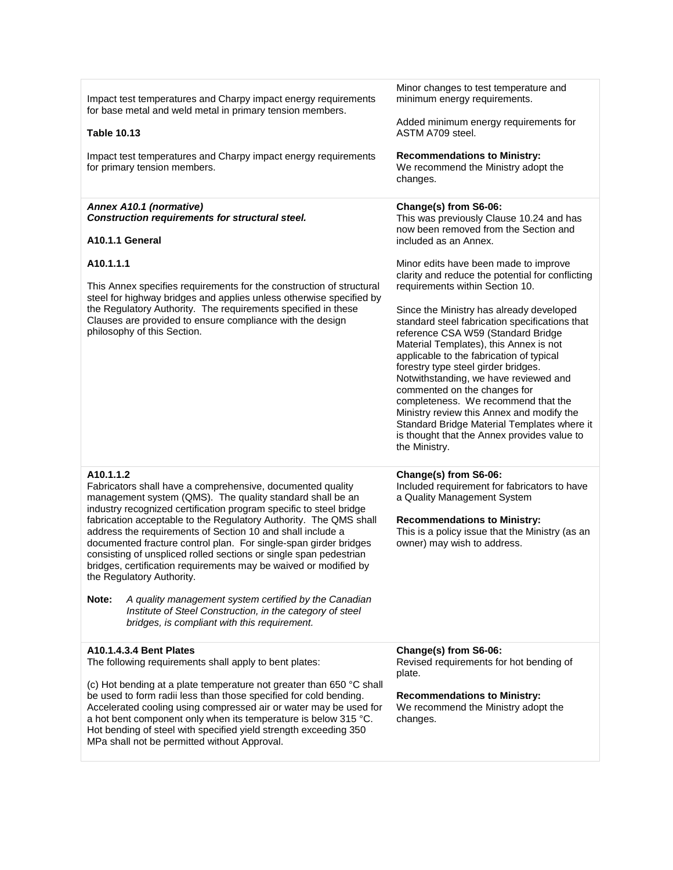| Impact test temperatures and Charpy impact energy requirements<br>for base metal and weld metal in primary tension members.                                                                                                                                                                                                                                                                                                                                                                                                                                                             | Minor changes to test temperature and<br>minimum energy requirements.<br>Added minimum energy requirements for                                                                                                                                                                                                                                                                                                                                                                                                                                                                                            |
|-----------------------------------------------------------------------------------------------------------------------------------------------------------------------------------------------------------------------------------------------------------------------------------------------------------------------------------------------------------------------------------------------------------------------------------------------------------------------------------------------------------------------------------------------------------------------------------------|-----------------------------------------------------------------------------------------------------------------------------------------------------------------------------------------------------------------------------------------------------------------------------------------------------------------------------------------------------------------------------------------------------------------------------------------------------------------------------------------------------------------------------------------------------------------------------------------------------------|
| <b>Table 10.13</b>                                                                                                                                                                                                                                                                                                                                                                                                                                                                                                                                                                      | ASTM A709 steel.                                                                                                                                                                                                                                                                                                                                                                                                                                                                                                                                                                                          |
| Impact test temperatures and Charpy impact energy requirements<br>for primary tension members.                                                                                                                                                                                                                                                                                                                                                                                                                                                                                          | <b>Recommendations to Ministry:</b><br>We recommend the Ministry adopt the<br>changes.                                                                                                                                                                                                                                                                                                                                                                                                                                                                                                                    |
| Annex A10.1 (normative)<br>Construction requirements for structural steel.<br>A10.1.1 General                                                                                                                                                                                                                                                                                                                                                                                                                                                                                           | Change(s) from S6-06:<br>This was previously Clause 10.24 and has<br>now been removed from the Section and<br>included as an Annex.                                                                                                                                                                                                                                                                                                                                                                                                                                                                       |
|                                                                                                                                                                                                                                                                                                                                                                                                                                                                                                                                                                                         |                                                                                                                                                                                                                                                                                                                                                                                                                                                                                                                                                                                                           |
| A10.1.1.1<br>This Annex specifies requirements for the construction of structural<br>steel for highway bridges and applies unless otherwise specified by<br>the Regulatory Authority. The requirements specified in these<br>Clauses are provided to ensure compliance with the design<br>philosophy of this Section.                                                                                                                                                                                                                                                                   | Minor edits have been made to improve<br>clarity and reduce the potential for conflicting<br>requirements within Section 10.<br>Since the Ministry has already developed<br>standard steel fabrication specifications that<br>reference CSA W59 (Standard Bridge<br>Material Templates), this Annex is not<br>applicable to the fabrication of typical<br>forestry type steel girder bridges.<br>Notwithstanding, we have reviewed and<br>commented on the changes for<br>completeness. We recommend that the<br>Ministry review this Annex and modify the<br>Standard Bridge Material Templates where it |
|                                                                                                                                                                                                                                                                                                                                                                                                                                                                                                                                                                                         | is thought that the Annex provides value to<br>the Ministry.                                                                                                                                                                                                                                                                                                                                                                                                                                                                                                                                              |
| A10.1.1.2<br>Fabricators shall have a comprehensive, documented quality<br>management system (QMS). The quality standard shall be an<br>industry recognized certification program specific to steel bridge<br>fabrication acceptable to the Regulatory Authority. The QMS shall<br>address the requirements of Section 10 and shall include a<br>documented fracture control plan. For single-span girder bridges<br>consisting of unspliced rolled sections or single span pedestrian<br>bridges, certification requirements may be waived or modified by<br>the Regulatory Authority. | Change(s) from S6-06:<br>Included requirement for fabricators to have<br>a Quality Management System<br><b>Recommendations to Ministry:</b><br>This is a policy issue that the Ministry (as an<br>owner) may wish to address.                                                                                                                                                                                                                                                                                                                                                                             |
| Note:<br>A quality management system certified by the Canadian<br>Institute of Steel Construction, in the category of steel<br>bridges, is compliant with this requirement.                                                                                                                                                                                                                                                                                                                                                                                                             |                                                                                                                                                                                                                                                                                                                                                                                                                                                                                                                                                                                                           |
| A10.1.4.3.4 Bent Plates<br>The following requirements shall apply to bent plates:<br>(c) Hot bending at a plate temperature not greater than 650 °C shall                                                                                                                                                                                                                                                                                                                                                                                                                               | Change(s) from S6-06:<br>Revised requirements for hot bending of<br>plate.                                                                                                                                                                                                                                                                                                                                                                                                                                                                                                                                |
| be used to form radii less than those specified for cold bending.<br>Accelerated cooling using compressed air or water may be used for<br>a hot bent component only when its temperature is below 315 °C.<br>Hot bending of steel with specified yield strength exceeding 350<br>MPa shall not be permitted without Approval.                                                                                                                                                                                                                                                           | <b>Recommendations to Ministry:</b><br>We recommend the Ministry adopt the<br>changes.                                                                                                                                                                                                                                                                                                                                                                                                                                                                                                                    |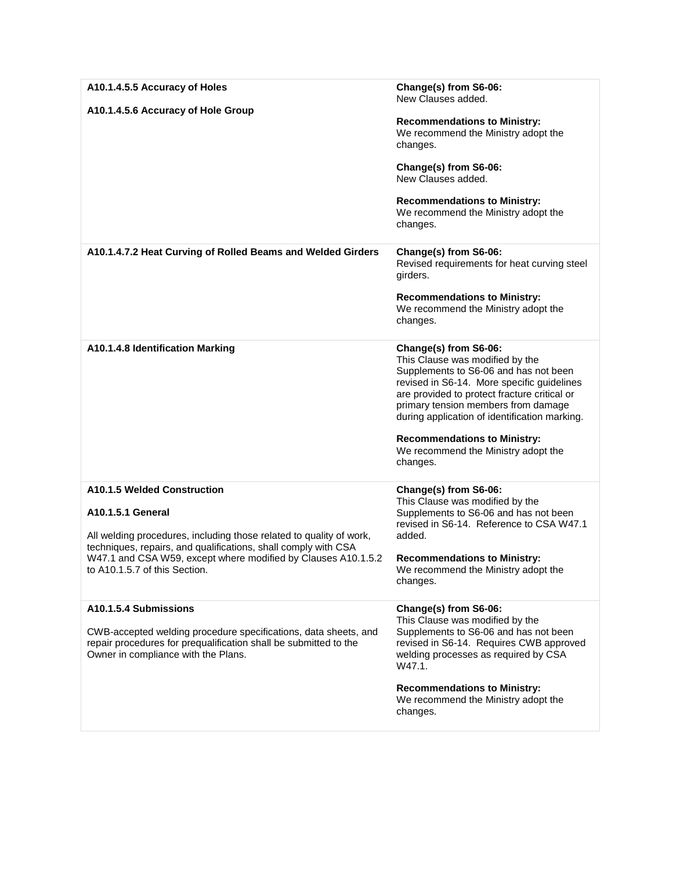| A10.1.4.5.5 Accuracy of Holes<br>A10.1.4.5.6 Accuracy of Hole Group                                                                                                                                                                                                                                | Change(s) from S6-06:<br>New Clauses added.<br><b>Recommendations to Ministry:</b><br>We recommend the Ministry adopt the<br>changes.<br>Change(s) from S6-06:<br>New Clauses added.<br><b>Recommendations to Ministry:</b><br>We recommend the Ministry adopt the<br>changes.                                                                                                    |
|----------------------------------------------------------------------------------------------------------------------------------------------------------------------------------------------------------------------------------------------------------------------------------------------------|-----------------------------------------------------------------------------------------------------------------------------------------------------------------------------------------------------------------------------------------------------------------------------------------------------------------------------------------------------------------------------------|
| A10.1.4.7.2 Heat Curving of Rolled Beams and Welded Girders                                                                                                                                                                                                                                        | Change(s) from S6-06:<br>Revised requirements for heat curving steel<br>girders.<br><b>Recommendations to Ministry:</b><br>We recommend the Ministry adopt the<br>changes.                                                                                                                                                                                                        |
| A10.1.4.8 Identification Marking                                                                                                                                                                                                                                                                   | Change(s) from S6-06:<br>This Clause was modified by the<br>Supplements to S6-06 and has not been<br>revised in S6-14. More specific guidelines<br>are provided to protect fracture critical or<br>primary tension members from damage<br>during application of identification marking.<br><b>Recommendations to Ministry:</b><br>We recommend the Ministry adopt the<br>changes. |
| A10.1.5 Welded Construction<br><b>A10.1.5.1 General</b><br>All welding procedures, including those related to quality of work,<br>techniques, repairs, and qualifications, shall comply with CSA<br>W47.1 and CSA W59, except where modified by Clauses A10.1.5.2<br>to A10.1.5.7 of this Section. | Change(s) from S6-06:<br>This Clause was modified by the<br>Supplements to S6-06 and has not been<br>revised in S6-14. Reference to CSA W47.1<br>added.<br><b>Recommendations to Ministry:</b><br>We recommend the Ministry adopt the<br>changes.                                                                                                                                 |
| A10.1.5.4 Submissions<br>CWB-accepted welding procedure specifications, data sheets, and<br>repair procedures for prequalification shall be submitted to the<br>Owner in compliance with the Plans.                                                                                                | Change(s) from S6-06:<br>This Clause was modified by the<br>Supplements to S6-06 and has not been<br>revised in S6-14. Requires CWB approved<br>welding processes as required by CSA<br>W47.1.<br><b>Recommendations to Ministry:</b><br>We recommend the Ministry adopt the<br>changes.                                                                                          |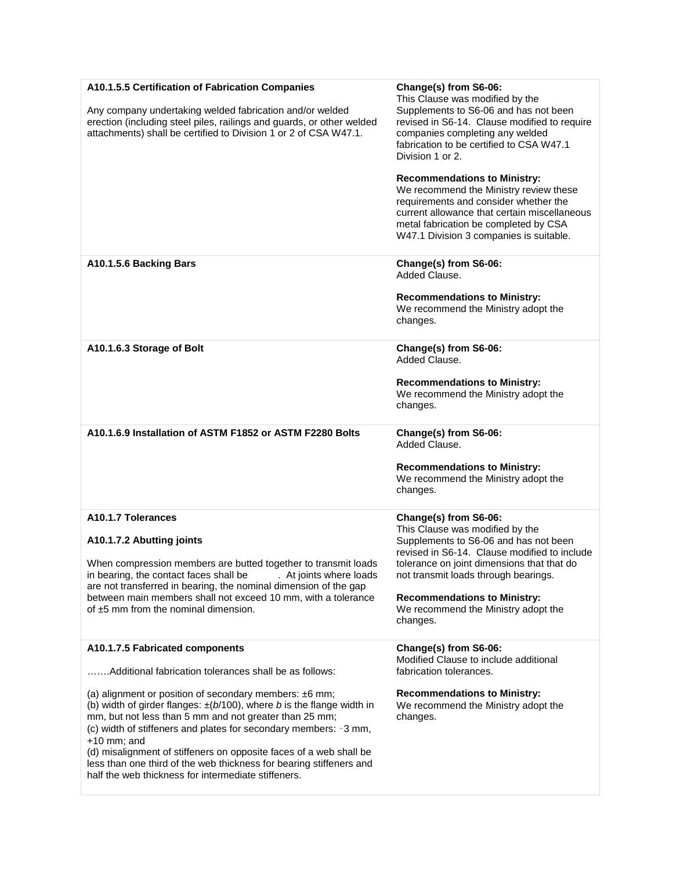| A10.1.5.5 Certification of Fabrication Companies<br>Any company undertaking welded fabrication and/or welded<br>erection (including steel piles, railings and guards, or other welded<br>attachments) shall be certified to Division 1 or 2 of CSA W47.1.                                                                                                                                                                                                                                                                                                                               | Change(s) from S6-06:<br>This Clause was modified by the<br>Supplements to S6-06 and has not been<br>revised in S6-14. Clause modified to require<br>companies completing any welded<br>fabrication to be certified to CSA W47.1<br>Division 1 or 2.<br><b>Recommendations to Ministry:</b><br>We recommend the Ministry review these<br>requirements and consider whether the<br>current allowance that certain miscellaneous<br>metal fabrication be completed by CSA<br>W47.1 Division 3 companies is suitable. |
|-----------------------------------------------------------------------------------------------------------------------------------------------------------------------------------------------------------------------------------------------------------------------------------------------------------------------------------------------------------------------------------------------------------------------------------------------------------------------------------------------------------------------------------------------------------------------------------------|--------------------------------------------------------------------------------------------------------------------------------------------------------------------------------------------------------------------------------------------------------------------------------------------------------------------------------------------------------------------------------------------------------------------------------------------------------------------------------------------------------------------|
| A10.1.5.6 Backing Bars                                                                                                                                                                                                                                                                                                                                                                                                                                                                                                                                                                  | Change(s) from S6-06:<br>Added Clause.<br><b>Recommendations to Ministry:</b><br>We recommend the Ministry adopt the<br>changes.                                                                                                                                                                                                                                                                                                                                                                                   |
| A10.1.6.3 Storage of Bolt                                                                                                                                                                                                                                                                                                                                                                                                                                                                                                                                                               | Change(s) from S6-06:<br>Added Clause.<br><b>Recommendations to Ministry:</b><br>We recommend the Ministry adopt the<br>changes.                                                                                                                                                                                                                                                                                                                                                                                   |
| A10.1.6.9 Installation of ASTM F1852 or ASTM F2280 Bolts                                                                                                                                                                                                                                                                                                                                                                                                                                                                                                                                | Change(s) from S6-06:<br>Added Clause.<br><b>Recommendations to Ministry:</b><br>We recommend the Ministry adopt the<br>changes.                                                                                                                                                                                                                                                                                                                                                                                   |
| A10.1.7 Tolerances<br>A10.1.7.2 Abutting joints<br>When compression members are butted together to transmit loads<br>in bearing, the contact faces shall be<br>. At joints where loads<br>are not transferred in bearing, the nominal dimension of the gap<br>between main members shall not exceed 10 mm, with a tolerance<br>of $±5$ mm from the nominal dimension.                                                                                                                                                                                                                   | Change(s) from S6-06:<br>This Clause was modified by the<br>Supplements to S6-06 and has not been<br>revised in S6-14. Clause modified to include<br>tolerance on joint dimensions that that do<br>not transmit loads through bearings.<br><b>Recommendations to Ministry:</b><br>We recommend the Ministry adopt the<br>changes.                                                                                                                                                                                  |
| A10.1.7.5 Fabricated components<br>Additional fabrication tolerances shall be as follows:<br>(a) alignment or position of secondary members: $±6$ mm;<br>(b) width of girder flanges: $\pm (b/100)$ , where b is the flange width in<br>mm, but not less than 5 mm and not greater than 25 mm;<br>(c) width of stiffeners and plates for secondary members: -3 mm,<br>$+10$ mm; and<br>(d) misalignment of stiffeners on opposite faces of a web shall be<br>less than one third of the web thickness for bearing stiffeners and<br>half the web thickness for intermediate stiffeners. | Change(s) from S6-06:<br>Modified Clause to include additional<br>fabrication tolerances.<br><b>Recommendations to Ministry:</b><br>We recommend the Ministry adopt the<br>changes.                                                                                                                                                                                                                                                                                                                                |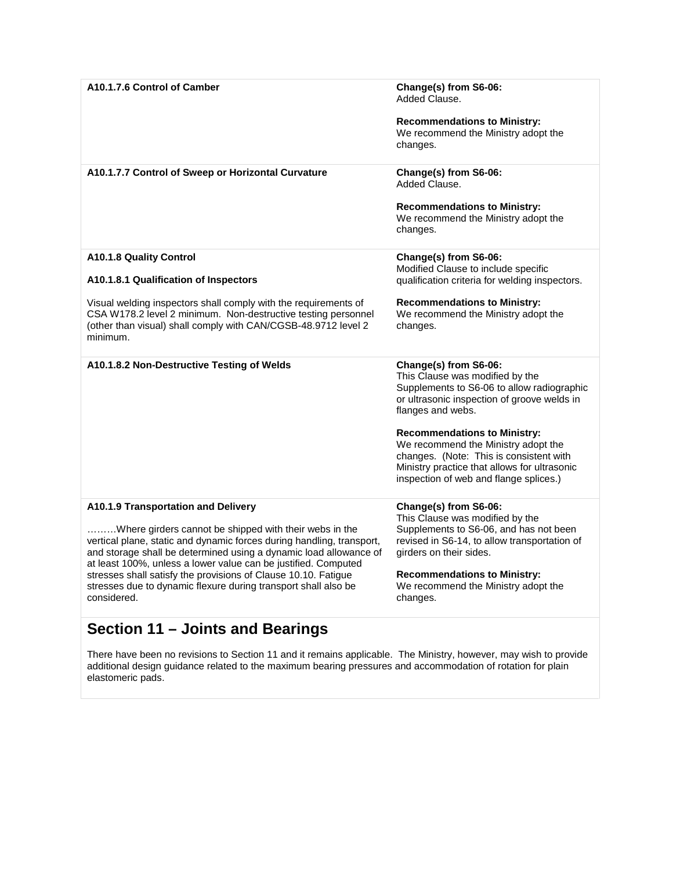| A10.1.7.6 Control of Camber                                                                                                                                                                                                                                            | Change(s) from S6-06:<br>Added Clause.<br><b>Recommendations to Ministry:</b><br>We recommend the Ministry adopt the<br>changes.                                                                                                                                                                                                                                                              |
|------------------------------------------------------------------------------------------------------------------------------------------------------------------------------------------------------------------------------------------------------------------------|-----------------------------------------------------------------------------------------------------------------------------------------------------------------------------------------------------------------------------------------------------------------------------------------------------------------------------------------------------------------------------------------------|
| A10.1.7.7 Control of Sweep or Horizontal Curvature                                                                                                                                                                                                                     | Change(s) from S6-06:<br>Added Clause.<br><b>Recommendations to Ministry:</b><br>We recommend the Ministry adopt the<br>changes.                                                                                                                                                                                                                                                              |
| A10.1.8 Quality Control                                                                                                                                                                                                                                                | Change(s) from S6-06:                                                                                                                                                                                                                                                                                                                                                                         |
| A10.1.8.1 Qualification of Inspectors                                                                                                                                                                                                                                  | Modified Clause to include specific<br>qualification criteria for welding inspectors.                                                                                                                                                                                                                                                                                                         |
| Visual welding inspectors shall comply with the requirements of<br>CSA W178.2 level 2 minimum. Non-destructive testing personnel<br>(other than visual) shall comply with CAN/CGSB-48.9712 level 2<br>minimum.                                                         | <b>Recommendations to Ministry:</b><br>We recommend the Ministry adopt the<br>changes.                                                                                                                                                                                                                                                                                                        |
| A10.1.8.2 Non-Destructive Testing of Welds                                                                                                                                                                                                                             | Change(s) from S6-06:<br>This Clause was modified by the<br>Supplements to S6-06 to allow radiographic<br>or ultrasonic inspection of groove welds in<br>flanges and webs.<br><b>Recommendations to Ministry:</b><br>We recommend the Ministry adopt the<br>changes. (Note: This is consistent with<br>Ministry practice that allows for ultrasonic<br>inspection of web and flange splices.) |
| A10.1.9 Transportation and Delivery                                                                                                                                                                                                                                    | Change(s) from S6-06:<br>This Clause was modified by the                                                                                                                                                                                                                                                                                                                                      |
| Where girders cannot be shipped with their webs in the<br>vertical plane, static and dynamic forces during handling, transport,<br>and storage shall be determined using a dynamic load allowance of<br>at least 100%, unless a lower value can be justified. Computed | Supplements to S6-06, and has not been<br>revised in S6-14, to allow transportation of<br>girders on their sides.                                                                                                                                                                                                                                                                             |
| stresses shall satisfy the provisions of Clause 10.10. Fatigue<br>stresses due to dynamic flexure during transport shall also be<br>considered.                                                                                                                        | <b>Recommendations to Ministry:</b><br>We recommend the Ministry adopt the<br>changes.                                                                                                                                                                                                                                                                                                        |
|                                                                                                                                                                                                                                                                        |                                                                                                                                                                                                                                                                                                                                                                                               |

# **Section 11 – Joints and Bearings**

There have been no revisions to Section 11 and it remains applicable. The Ministry, however, may wish to provide additional design guidance related to the maximum bearing pressures and accommodation of rotation for plain elastomeric pads.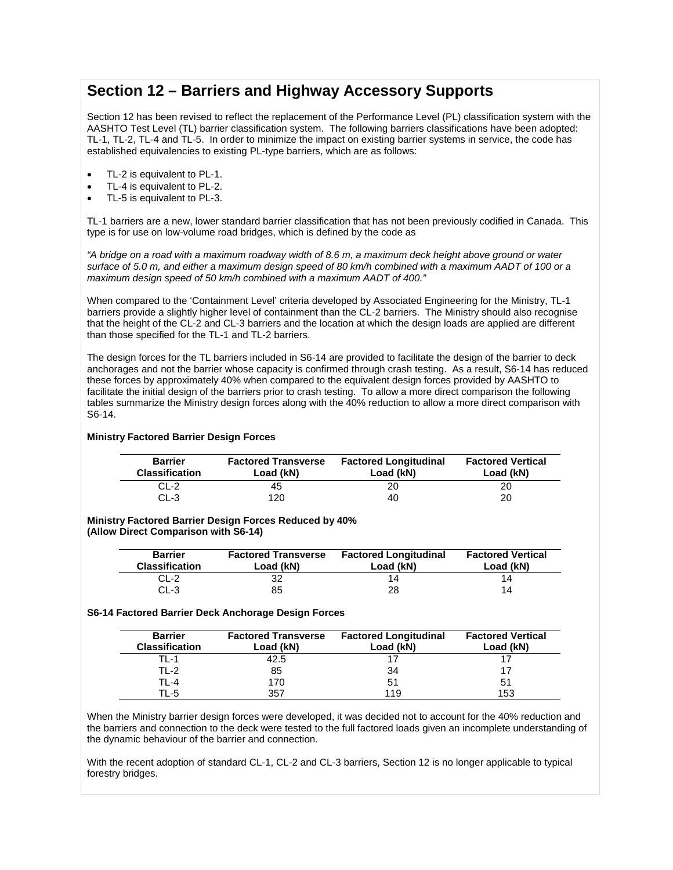## **Section 12 – Barriers and Highway Accessory Supports**

Section 12 has been revised to reflect the replacement of the Performance Level (PL) classification system with the AASHTO Test Level (TL) barrier classification system. The following barriers classifications have been adopted: TL-1, TL-2, TL-4 and TL-5. In order to minimize the impact on existing barrier systems in service, the code has established equivalencies to existing PL-type barriers, which are as follows:

- TL-2 is equivalent to PL-1.
- TL-4 is equivalent to PL-2.
- TL-5 is equivalent to PL-3.

TL-1 barriers are a new, lower standard barrier classification that has not been previously codified in Canada. This type is for use on low-volume road bridges, which is defined by the code as

*"A bridge on a road with a maximum roadway width of 8.6 m, a maximum deck height above ground or water surface of 5.0 m, and either a maximum design speed of 80 km/h combined with a maximum AADT of 100 or a maximum design speed of 50 km/h combined with a maximum AADT of 400."*

When compared to the 'Containment Level' criteria developed by Associated Engineering for the Ministry, TL-1 barriers provide a slightly higher level of containment than the CL-2 barriers. The Ministry should also recognise that the height of the CL-2 and CL-3 barriers and the location at which the design loads are applied are different than those specified for the TL-1 and TL-2 barriers.

The design forces for the TL barriers included in S6-14 are provided to facilitate the design of the barrier to deck anchorages and not the barrier whose capacity is confirmed through crash testing. As a result, S6-14 has reduced these forces by approximately 40% when compared to the equivalent design forces provided by AASHTO to facilitate the initial design of the barriers prior to crash testing. To allow a more direct comparison the following tables summarize the Ministry design forces along with the 40% reduction to allow a more direct comparison with S6-14.

## **Ministry Factored Barrier Design Forces**

| <b>Barrier</b><br><b>Classification</b> | <b>Factored Transverse</b><br>Load (kN) | <b>Factored Longitudinal</b><br>Load (kN) | <b>Factored Vertical</b><br>Load (kN) |
|-----------------------------------------|-----------------------------------------|-------------------------------------------|---------------------------------------|
| CL-2                                    | 45                                      | 20                                        | 20                                    |
| CL-3                                    | 120                                     | 40                                        | 20                                    |

**Ministry Factored Barrier Design Forces Reduced by 40% (Allow Direct Comparison with S6-14)**

| <b>Barrier</b><br><b>Classification</b> | <b>Factored Transverse</b><br>Load (kN) | <b>Factored Longitudinal</b><br>Load (kN) | <b>Factored Vertical</b><br>Load (kN) |
|-----------------------------------------|-----------------------------------------|-------------------------------------------|---------------------------------------|
| CL-2                                    |                                         |                                           | 14                                    |
| CL-3                                    | 85                                      | 28                                        | 14                                    |

## **S6-14 Factored Barrier Deck Anchorage Design Forces**

| <b>Barrier</b><br><b>Classification</b> | <b>Factored Transverse</b><br>Load (kN) | <b>Factored Longitudinal</b><br>Load (kN) | <b>Factored Vertical</b><br>Load (kN) |
|-----------------------------------------|-----------------------------------------|-------------------------------------------|---------------------------------------|
| TL-1                                    | 42.5                                    |                                           |                                       |
| TL-2                                    | 85                                      | 34                                        |                                       |
| TL-4                                    | 170                                     | 51                                        | 51                                    |
| TL-5                                    | 357                                     | 119                                       | 153                                   |

When the Ministry barrier design forces were developed, it was decided not to account for the 40% reduction and the barriers and connection to the deck were tested to the full factored loads given an incomplete understanding of the dynamic behaviour of the barrier and connection.

With the recent adoption of standard CL-1, CL-2 and CL-3 barriers, Section 12 is no longer applicable to typical forestry bridges.